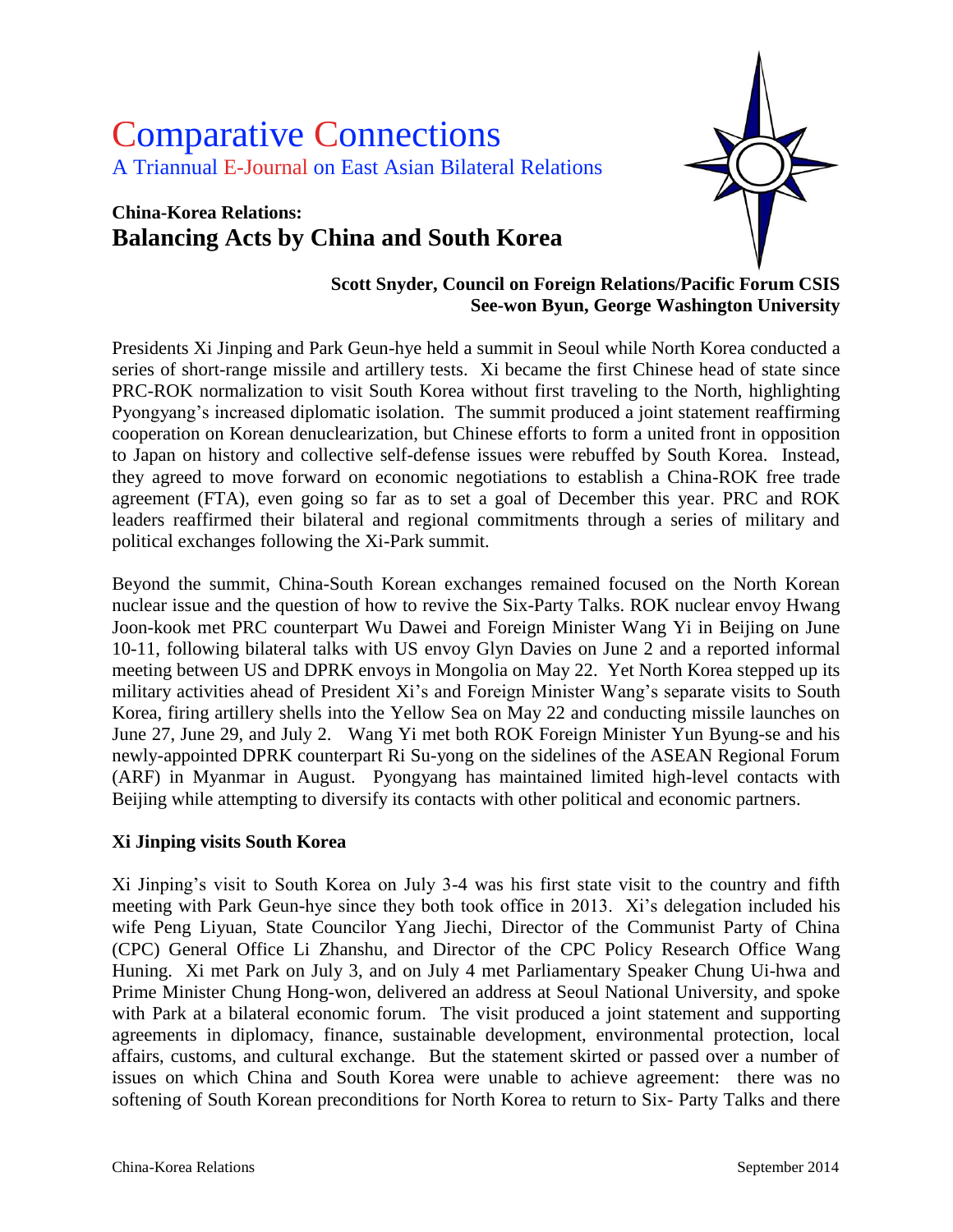# Comparative Connections A Triannual E-Journal on East Asian Bilateral Relations

## **China-Korea Relations: Balancing Acts by China and South Korea**



#### **Scott Snyder, Council on Foreign Relations/Pacific Forum CSIS See-won Byun, George Washington University**

Presidents Xi Jinping and Park Geun-hye held a summit in Seoul while North Korea conducted a series of short-range missile and artillery tests. Xi became the first Chinese head of state since PRC-ROK normalization to visit South Korea without first traveling to the North, highlighting Pyongyang's increased diplomatic isolation. The summit produced a joint statement reaffirming cooperation on Korean denuclearization, but Chinese efforts to form a united front in opposition to Japan on history and collective self-defense issues were rebuffed by South Korea. Instead, they agreed to move forward on economic negotiations to establish a China-ROK free trade agreement (FTA), even going so far as to set a goal of December this year. PRC and ROK leaders reaffirmed their bilateral and regional commitments through a series of military and political exchanges following the Xi-Park summit.

Beyond the summit, China-South Korean exchanges remained focused on the North Korean nuclear issue and the question of how to revive the Six-Party Talks. ROK nuclear envoy Hwang Joon-kook met PRC counterpart Wu Dawei and Foreign Minister Wang Yi in Beijing on June 10-11, following bilateral talks with US envoy Glyn Davies on June 2 and a reported informal meeting between US and DPRK envoys in Mongolia on May 22. Yet North Korea stepped up its military activities ahead of President Xi's and Foreign Minister Wang's separate visits to South Korea, firing artillery shells into the Yellow Sea on May 22 and conducting missile launches on June 27, June 29, and July 2. Wang Yi met both ROK Foreign Minister Yun Byung-se and his newly-appointed DPRK counterpart Ri Su-yong on the sidelines of the ASEAN Regional Forum (ARF) in Myanmar in August. Pyongyang has maintained limited high-level contacts with Beijing while attempting to diversify its contacts with other political and economic partners.

#### **Xi Jinping visits South Korea**

Xi Jinping"s visit to South Korea on July 3-4 was his first state visit to the country and fifth meeting with Park Geun-hye since they both took office in 2013. Xi"s delegation included his wife Peng Liyuan, State Councilor Yang Jiechi, Director of the Communist Party of China (CPC) General Office Li Zhanshu, and Director of the CPC Policy Research Office Wang Huning. Xi met Park on July 3, and on July 4 met Parliamentary Speaker Chung Ui-hwa and Prime Minister Chung Hong-won, delivered an address at Seoul National University, and spoke with Park at a bilateral economic forum. The visit produced a joint statement and supporting agreements in diplomacy, finance, sustainable development, environmental protection, local affairs, customs, and cultural exchange. But the statement skirted or passed over a number of issues on which China and South Korea were unable to achieve agreement: there was no softening of South Korean preconditions for North Korea to return to Six- Party Talks and there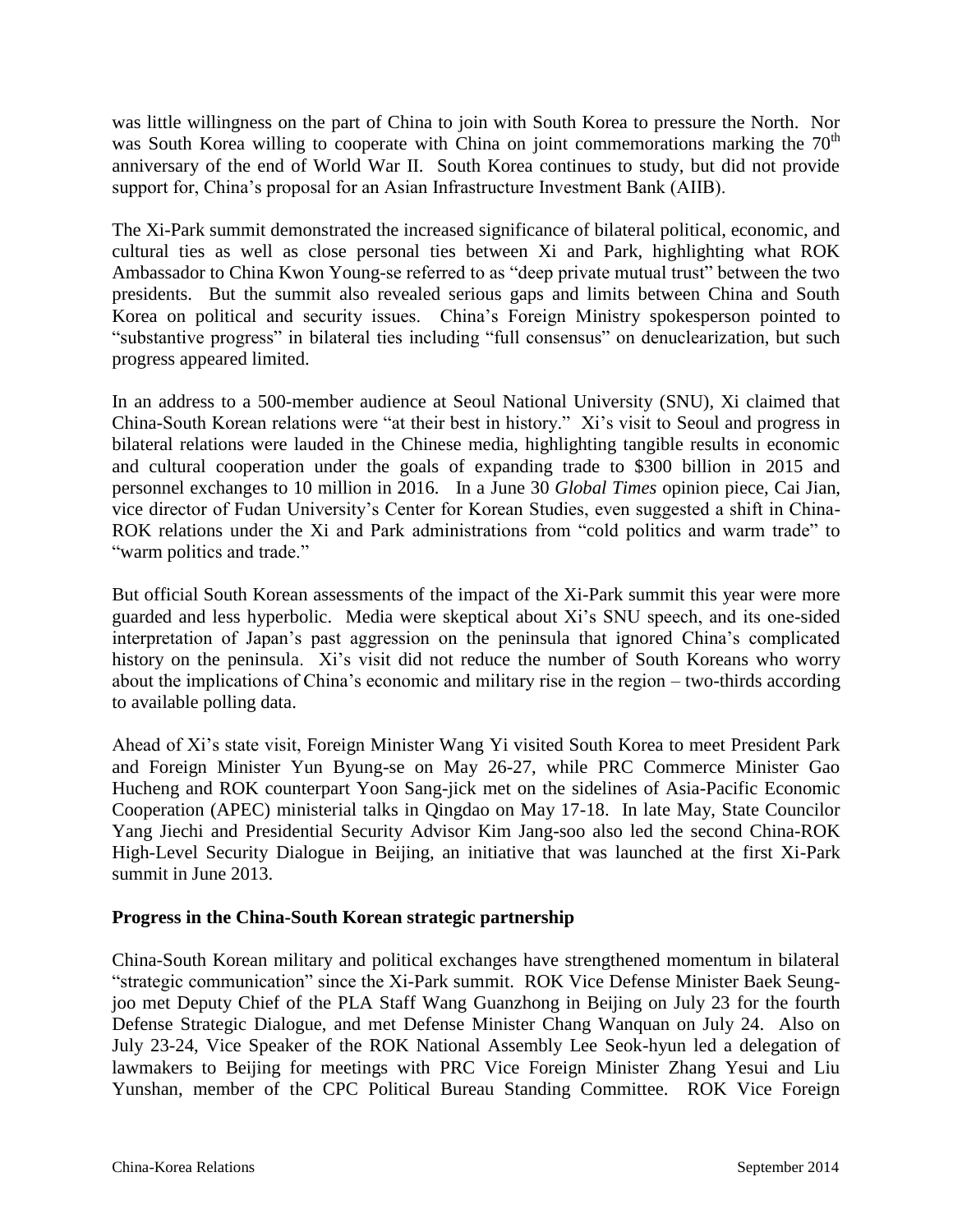was little willingness on the part of China to join with South Korea to pressure the North. Nor was South Korea willing to cooperate with China on joint commemorations marking the  $70<sup>th</sup>$ anniversary of the end of World War II. South Korea continues to study, but did not provide support for, China"s proposal for an Asian Infrastructure Investment Bank (AIIB).

The Xi-Park summit demonstrated the increased significance of bilateral political, economic, and cultural ties as well as close personal ties between Xi and Park, highlighting what ROK Ambassador to China Kwon Young-se referred to as "deep private mutual trust" between the two presidents. But the summit also revealed serious gaps and limits between China and South Korea on political and security issues. China"s Foreign Ministry spokesperson pointed to "substantive progress" in bilateral ties including "full consensus" on denuclearization, but such progress appeared limited.

In an address to a 500-member audience at Seoul National University (SNU), Xi claimed that China-South Korean relations were "at their best in history." Xi"s visit to Seoul and progress in bilateral relations were lauded in the Chinese media, highlighting tangible results in economic and cultural cooperation under the goals of expanding trade to \$300 billion in 2015 and personnel exchanges to 10 million in 2016. In a June 30 *Global Times* opinion piece, Cai Jian, vice director of Fudan University"s Center for Korean Studies, even suggested a shift in China-ROK relations under the Xi and Park administrations from "cold politics and warm trade" to "warm politics and trade."

But official South Korean assessments of the impact of the Xi-Park summit this year were more guarded and less hyperbolic. Media were skeptical about Xi"s SNU speech, and its one-sided interpretation of Japan"s past aggression on the peninsula that ignored China"s complicated history on the peninsula. Xi's visit did not reduce the number of South Koreans who worry about the implications of China"s economic and military rise in the region – two-thirds according to available polling data.

Ahead of Xi"s state visit, Foreign Minister Wang Yi visited South Korea to meet President Park and Foreign Minister Yun Byung-se on May 26-27, while PRC Commerce Minister Gao Hucheng and ROK counterpart Yoon Sang-jick met on the sidelines of Asia-Pacific Economic Cooperation (APEC) ministerial talks in Qingdao on May 17-18. In late May, State Councilor Yang Jiechi and Presidential Security Advisor Kim Jang-soo also led the second China-ROK High-Level Security Dialogue in Beijing, an initiative that was launched at the first Xi-Park summit in June 2013.

#### **Progress in the China-South Korean strategic partnership**

China-South Korean military and political exchanges have strengthened momentum in bilateral "strategic communication" since the Xi-Park summit. ROK Vice Defense Minister Baek Seungjoo met Deputy Chief of the PLA Staff Wang Guanzhong in Beijing on July 23 for the fourth Defense Strategic Dialogue, and met Defense Minister Chang Wanquan on July 24. Also on July 23-24, Vice Speaker of the ROK National Assembly Lee Seok-hyun led a delegation of lawmakers to Beijing for meetings with PRC Vice Foreign Minister Zhang Yesui and Liu Yunshan, member of the CPC Political Bureau Standing Committee. ROK Vice Foreign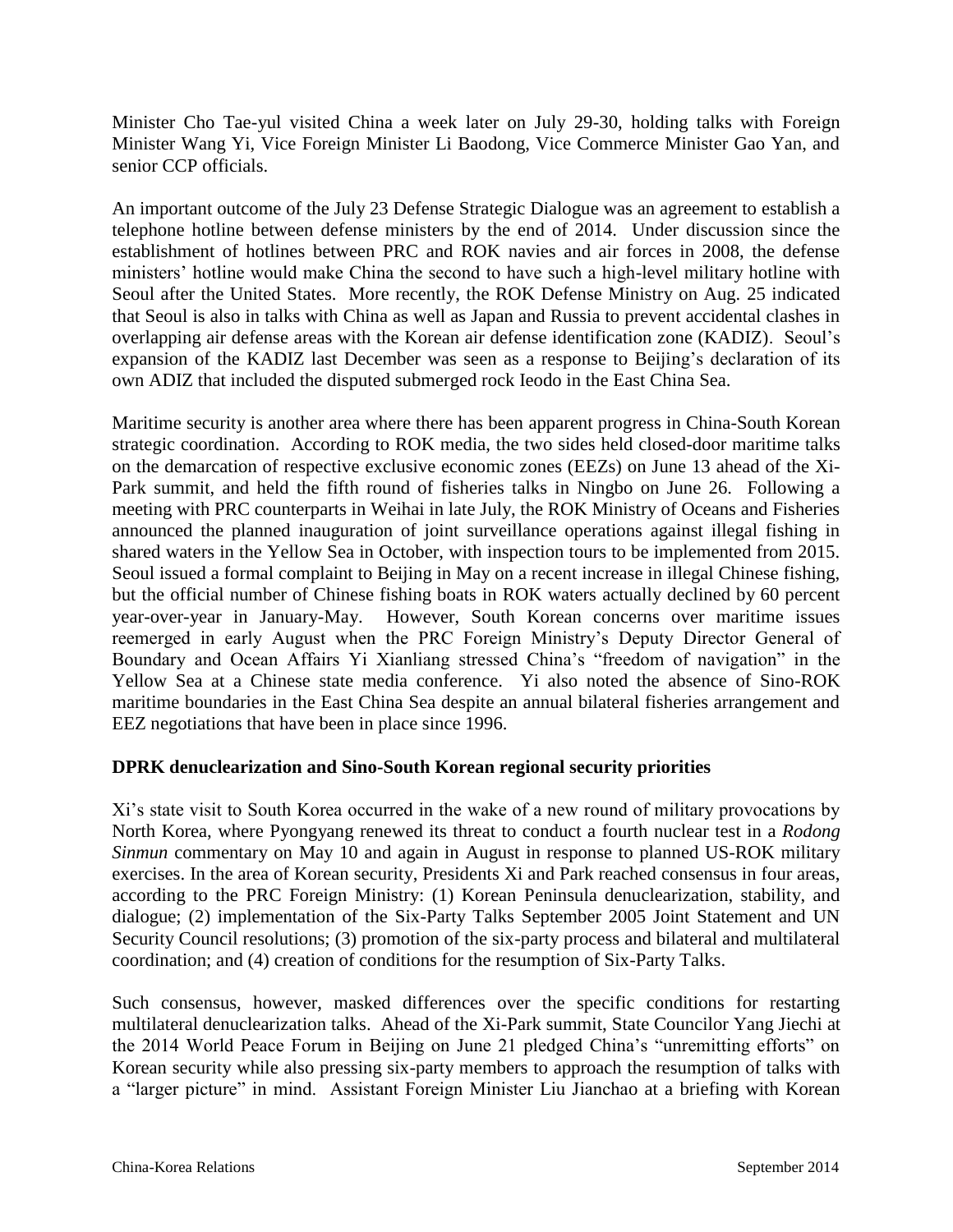Minister Cho Tae-yul visited China a week later on July 29-30, holding talks with Foreign Minister Wang Yi, Vice Foreign Minister Li Baodong, Vice Commerce Minister Gao Yan, and senior CCP officials.

An important outcome of the July 23 Defense Strategic Dialogue was an agreement to establish a telephone hotline between defense ministers by the end of 2014. Under discussion since the establishment of hotlines between PRC and ROK navies and air forces in 2008, the defense ministers' hotline would make China the second to have such a high-level military hotline with Seoul after the United States. More recently, the ROK Defense Ministry on Aug. 25 indicated that Seoul is also in talks with China as well as Japan and Russia to prevent accidental clashes in overlapping air defense areas with the Korean air defense identification zone (KADIZ). Seoul"s expansion of the KADIZ last December was seen as a response to Beijing"s declaration of its own ADIZ that included the disputed submerged rock Ieodo in the East China Sea.

Maritime security is another area where there has been apparent progress in China-South Korean strategic coordination. According to ROK media, the two sides held closed-door maritime talks on the demarcation of respective exclusive economic zones (EEZs) on June 13 ahead of the Xi-Park summit, and held the fifth round of fisheries talks in Ningbo on June 26. Following a meeting with PRC counterparts in Weihai in late July, the ROK Ministry of Oceans and Fisheries announced the planned inauguration of joint surveillance operations against illegal fishing in shared waters in the Yellow Sea in October, with inspection tours to be implemented from 2015. Seoul issued a formal complaint to Beijing in May on a recent increase in illegal Chinese fishing, but the official number of Chinese fishing boats in ROK waters actually declined by 60 percent year-over-year in January-May. However, South Korean concerns over maritime issues reemerged in early August when the PRC Foreign Ministry"s Deputy Director General of Boundary and Ocean Affairs Yi Xianliang stressed China's "freedom of navigation" in the Yellow Sea at a Chinese state media conference. Yi also noted the absence of Sino-ROK maritime boundaries in the East China Sea despite an annual bilateral fisheries arrangement and EEZ negotiations that have been in place since 1996.

#### **DPRK denuclearization and Sino-South Korean regional security priorities**

Xi"s state visit to South Korea occurred in the wake of a new round of military provocations by North Korea, where Pyongyang renewed its threat to conduct a fourth nuclear test in a *Rodong Sinmun* commentary on May 10 and again in August in response to planned US-ROK military exercises. In the area of Korean security, Presidents Xi and Park reached consensus in four areas, according to the PRC Foreign Ministry: (1) Korean Peninsula denuclearization, stability, and dialogue; (2) implementation of the Six-Party Talks September 2005 Joint Statement and UN Security Council resolutions; (3) promotion of the six-party process and bilateral and multilateral coordination; and (4) creation of conditions for the resumption of Six-Party Talks.

Such consensus, however, masked differences over the specific conditions for restarting multilateral denuclearization talks. Ahead of the Xi-Park summit, State Councilor Yang Jiechi at the 2014 World Peace Forum in Beijing on June 21 pledged China"s "unremitting efforts" on Korean security while also pressing six-party members to approach the resumption of talks with a "larger picture" in mind. Assistant Foreign Minister Liu Jianchao at a briefing with Korean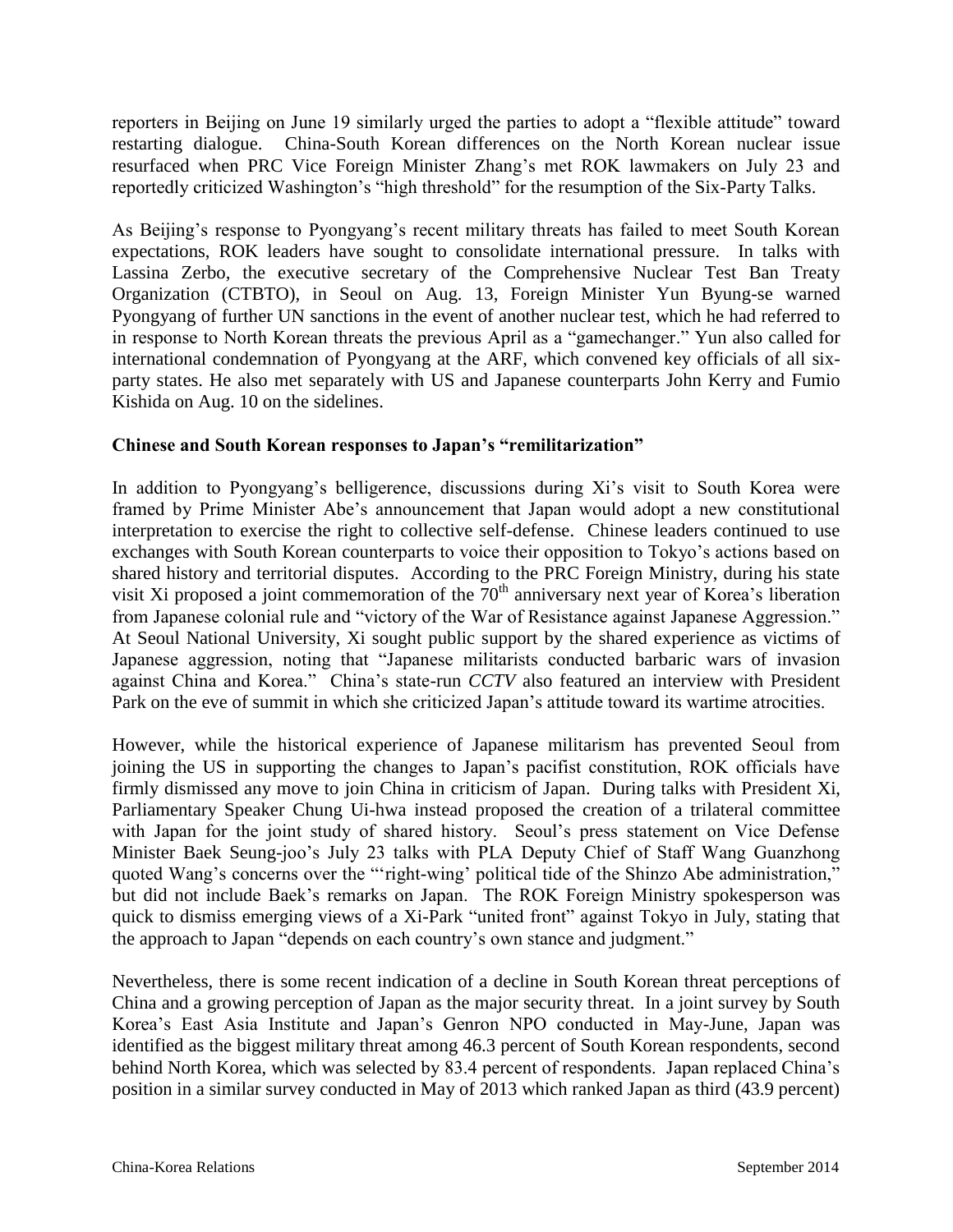reporters in Beijing on June 19 similarly urged the parties to adopt a "flexible attitude" toward restarting dialogue. China-South Korean differences on the North Korean nuclear issue resurfaced when PRC Vice Foreign Minister Zhang"s met ROK lawmakers on July 23 and reportedly criticized Washington's "high threshold" for the resumption of the Six-Party Talks.

As Beijing's response to Pyongyang's recent military threats has failed to meet South Korean expectations, ROK leaders have sought to consolidate international pressure. In talks with Lassina Zerbo, the executive secretary of the Comprehensive Nuclear Test Ban Treaty Organization (CTBTO), in Seoul on Aug. 13, Foreign Minister Yun Byung-se warned Pyongyang of further UN sanctions in the event of another nuclear test, which he had referred to in response to North Korean threats the previous April as a "gamechanger." Yun also called for international condemnation of Pyongyang at the ARF, which convened key officials of all sixparty states. He also met separately with US and Japanese counterparts John Kerry and Fumio Kishida on Aug. 10 on the sidelines.

#### **Chinese and South Korean responses to Japan's "remilitarization"**

In addition to Pyongyang's belligerence, discussions during Xi's visit to South Korea were framed by Prime Minister Abe"s announcement that Japan would adopt a new constitutional interpretation to exercise the right to collective self-defense. Chinese leaders continued to use exchanges with South Korean counterparts to voice their opposition to Tokyo"s actions based on shared history and territorial disputes. According to the PRC Foreign Ministry, during his state visit Xi proposed a joint commemoration of the  $70<sup>th</sup>$  anniversary next year of Korea's liberation from Japanese colonial rule and "victory of the War of Resistance against Japanese Aggression." At Seoul National University, Xi sought public support by the shared experience as victims of Japanese aggression, noting that "Japanese militarists conducted barbaric wars of invasion against China and Korea." China"s state-run *CCTV* also featured an interview with President Park on the eve of summit in which she criticized Japan's attitude toward its wartime atrocities.

However, while the historical experience of Japanese militarism has prevented Seoul from joining the US in supporting the changes to Japan"s pacifist constitution, ROK officials have firmly dismissed any move to join China in criticism of Japan. During talks with President Xi, Parliamentary Speaker Chung Ui-hwa instead proposed the creation of a trilateral committee with Japan for the joint study of shared history. Seoul's press statement on Vice Defense Minister Baek Seung-joo"s July 23 talks with PLA Deputy Chief of Staff Wang Guanzhong quoted Wang's concerns over the ""right-wing' political tide of the Shinzo Abe administration," but did not include Baek"s remarks on Japan. The ROK Foreign Ministry spokesperson was quick to dismiss emerging views of a Xi-Park "united front" against Tokyo in July, stating that the approach to Japan "depends on each country"s own stance and judgment."

Nevertheless, there is some recent indication of a decline in South Korean threat perceptions of China and a growing perception of Japan as the major security threat. In a joint survey by South Korea"s East Asia Institute and Japan"s Genron NPO conducted in May-June, Japan was identified as the biggest military threat among 46.3 percent of South Korean respondents, second behind North Korea, which was selected by 83.4 percent of respondents. Japan replaced China"s position in a similar survey conducted in May of 2013 which ranked Japan as third (43.9 percent)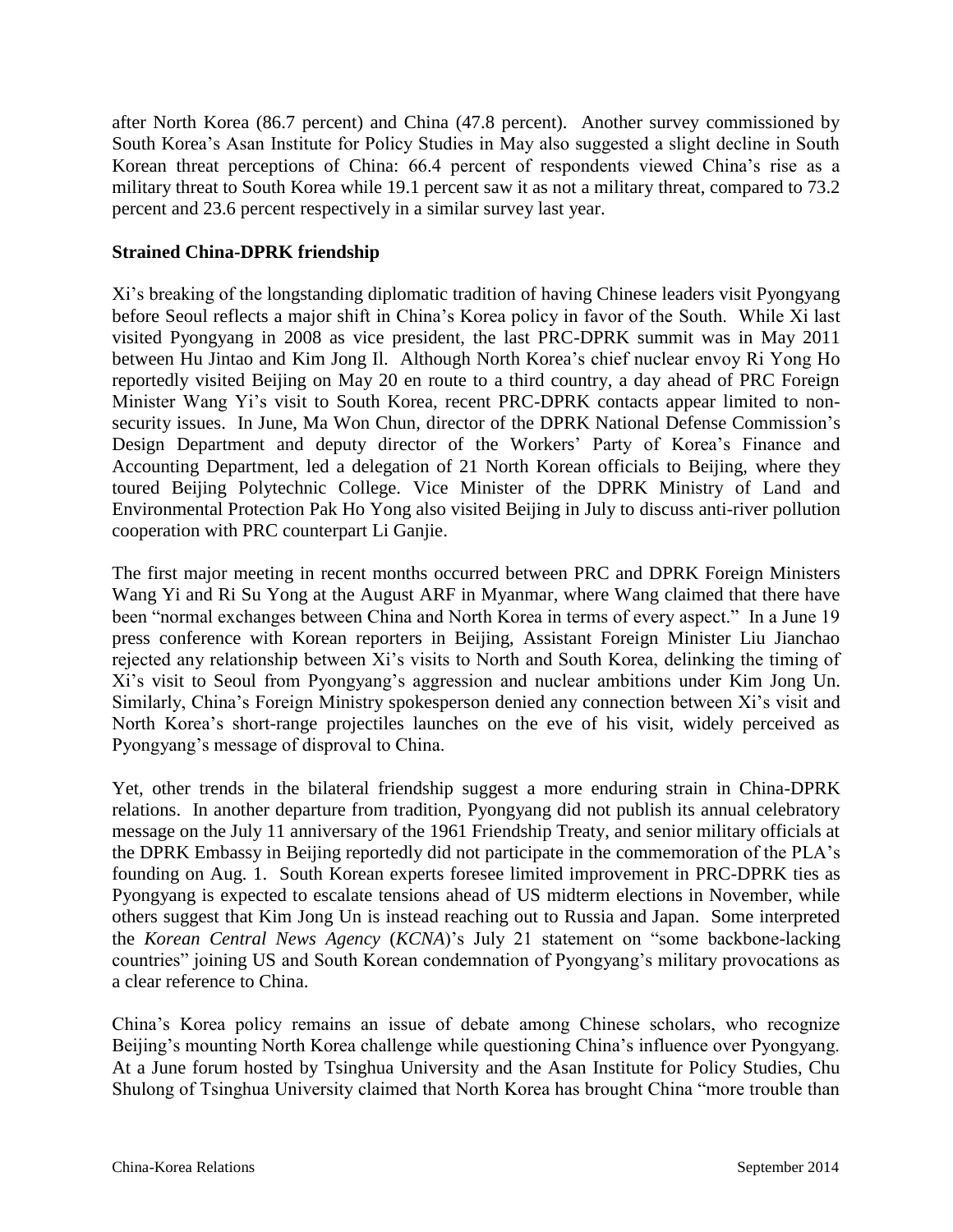after North Korea (86.7 percent) and China (47.8 percent). Another survey commissioned by South Korea"s Asan Institute for Policy Studies in May also suggested a slight decline in South Korean threat perceptions of China: 66.4 percent of respondents viewed China"s rise as a military threat to South Korea while 19.1 percent saw it as not a military threat, compared to 73.2 percent and 23.6 percent respectively in a similar survey last year.

#### **Strained China-DPRK friendship**

Xi"s breaking of the longstanding diplomatic tradition of having Chinese leaders visit Pyongyang before Seoul reflects a major shift in China"s Korea policy in favor of the South. While Xi last visited Pyongyang in 2008 as vice president, the last PRC-DPRK summit was in May 2011 between Hu Jintao and Kim Jong Il. Although North Korea's chief nuclear envoy Ri Yong Ho reportedly visited Beijing on May 20 en route to a third country, a day ahead of PRC Foreign Minister Wang Yi's visit to South Korea, recent PRC-DPRK contacts appear limited to nonsecurity issues. In June, Ma Won Chun, director of the DPRK National Defense Commission's Design Department and deputy director of the Workers' Party of Korea's Finance and Accounting Department, led a delegation of 21 North Korean officials to Beijing, where they toured Beijing Polytechnic College. Vice Minister of the DPRK Ministry of Land and Environmental Protection Pak Ho Yong also visited Beijing in July to discuss anti-river pollution cooperation with PRC counterpart Li Ganjie.

The first major meeting in recent months occurred between PRC and DPRK Foreign Ministers Wang Yi and Ri Su Yong at the August ARF in Myanmar, where Wang claimed that there have been "normal exchanges between China and North Korea in terms of every aspect." In a June 19 press conference with Korean reporters in Beijing, Assistant Foreign Minister Liu Jianchao rejected any relationship between Xi"s visits to North and South Korea, delinking the timing of Xi"s visit to Seoul from Pyongyang"s aggression and nuclear ambitions under Kim Jong Un. Similarly, China"s Foreign Ministry spokesperson denied any connection between Xi"s visit and North Korea"s short-range projectiles launches on the eve of his visit, widely perceived as Pyongyang"s message of disproval to China.

Yet, other trends in the bilateral friendship suggest a more enduring strain in China-DPRK relations. In another departure from tradition, Pyongyang did not publish its annual celebratory message on the July 11 anniversary of the 1961 Friendship Treaty, and senior military officials at the DPRK Embassy in Beijing reportedly did not participate in the commemoration of the PLA"s founding on Aug. 1. South Korean experts foresee limited improvement in PRC-DPRK ties as Pyongyang is expected to escalate tensions ahead of US midterm elections in November, while others suggest that Kim Jong Un is instead reaching out to Russia and Japan. Some interpreted the *Korean Central News Agency* (*KCNA*)"s July 21 statement on "some backbone-lacking countries" joining US and South Korean condemnation of Pyongyang"s military provocations as a clear reference to China.

China"s Korea policy remains an issue of debate among Chinese scholars, who recognize Beijing's mounting North Korea challenge while questioning China's influence over Pyongyang. At a June forum hosted by Tsinghua University and the Asan Institute for Policy Studies, Chu Shulong of Tsinghua University claimed that North Korea has brought China "more trouble than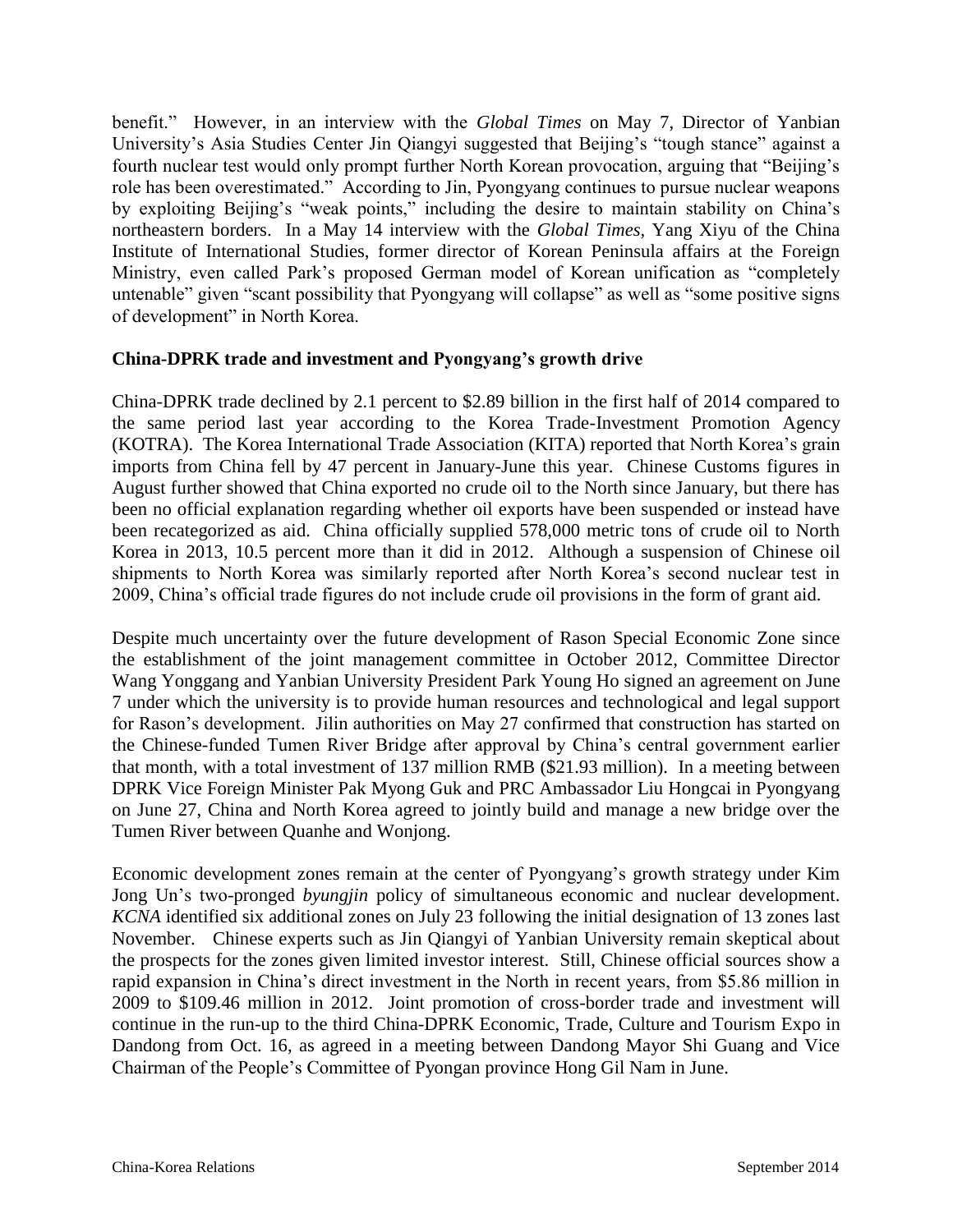benefit." However, in an interview with the *Global Times* on May 7, Director of Yanbian University"s Asia Studies Center Jin Qiangyi suggested that Beijing"s "tough stance" against a fourth nuclear test would only prompt further North Korean provocation, arguing that "Beijing"s role has been overestimated." According to Jin, Pyongyang continues to pursue nuclear weapons by exploiting Beijing's "weak points," including the desire to maintain stability on China's northeastern borders. In a May 14 interview with the *Global Times*, Yang Xiyu of the China Institute of International Studies, former director of Korean Peninsula affairs at the Foreign Ministry, even called Park"s proposed German model of Korean unification as "completely untenable" given "scant possibility that Pyongyang will collapse" as well as "some positive signs of development" in North Korea.

#### **China-DPRK trade and investment and Pyongyang's growth drive**

China-DPRK trade declined by 2.1 percent to \$2.89 billion in the first half of 2014 compared to the same period last year according to the Korea Trade-Investment Promotion Agency (KOTRA). The Korea International Trade Association (KITA) reported that North Korea"s grain imports from China fell by 47 percent in January-June this year. Chinese Customs figures in August further showed that China exported no crude oil to the North since January, but there has been no official explanation regarding whether oil exports have been suspended or instead have been recategorized as aid. China officially supplied 578,000 metric tons of crude oil to North Korea in 2013, 10.5 percent more than it did in 2012. Although a suspension of Chinese oil shipments to North Korea was similarly reported after North Korea"s second nuclear test in 2009, China"s official trade figures do not include crude oil provisions in the form of grant aid.

Despite much uncertainty over the future development of Rason Special Economic Zone since the establishment of the joint management committee in October 2012, Committee Director Wang Yonggang and Yanbian University President Park Young Ho signed an agreement on June 7 under which the university is to provide human resources and technological and legal support for Rason"s development. Jilin authorities on May 27 confirmed that construction has started on the Chinese-funded Tumen River Bridge after approval by China"s central government earlier that month, with a total investment of 137 million RMB (\$21.93 million). In a meeting between DPRK Vice Foreign Minister Pak Myong Guk and PRC Ambassador Liu Hongcai in Pyongyang on June 27, China and North Korea agreed to jointly build and manage a new bridge over the Tumen River between Quanhe and Wonjong.

Economic development zones remain at the center of Pyongyang's growth strategy under Kim Jong Un"s two-pronged *byungjin* policy of simultaneous economic and nuclear development. *KCNA* identified six additional zones on July 23 following the initial designation of 13 zones last November. Chinese experts such as Jin Qiangyi of Yanbian University remain skeptical about the prospects for the zones given limited investor interest. Still, Chinese official sources show a rapid expansion in China"s direct investment in the North in recent years, from \$5.86 million in 2009 to \$109.46 million in 2012. Joint promotion of cross-border trade and investment will continue in the run-up to the third China-DPRK Economic, Trade, Culture and Tourism Expo in Dandong from Oct. 16, as agreed in a meeting between Dandong Mayor Shi Guang and Vice Chairman of the People"s Committee of Pyongan province Hong Gil Nam in June.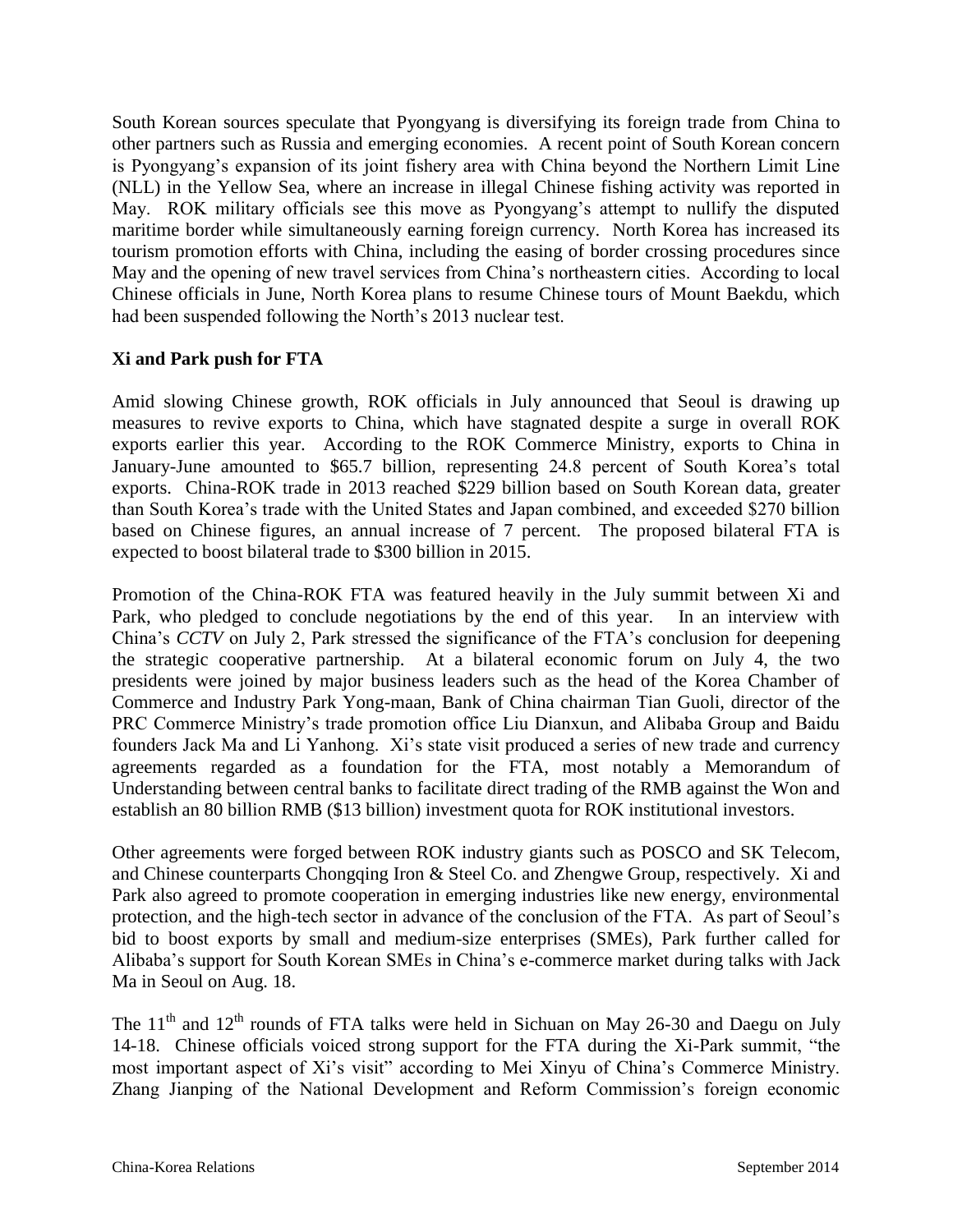South Korean sources speculate that Pyongyang is diversifying its foreign trade from China to other partners such as Russia and emerging economies. A recent point of South Korean concern is Pyongyang"s expansion of its joint fishery area with China beyond the Northern Limit Line (NLL) in the Yellow Sea, where an increase in illegal Chinese fishing activity was reported in May. ROK military officials see this move as Pyongyang's attempt to nullify the disputed maritime border while simultaneously earning foreign currency. North Korea has increased its tourism promotion efforts with China, including the easing of border crossing procedures since May and the opening of new travel services from China"s northeastern cities. According to local Chinese officials in June, North Korea plans to resume Chinese tours of Mount Baekdu, which had been suspended following the North's 2013 nuclear test.

#### **Xi and Park push for FTA**

Amid slowing Chinese growth, ROK officials in July announced that Seoul is drawing up measures to revive exports to China, which have stagnated despite a surge in overall ROK exports earlier this year. According to the ROK Commerce Ministry, exports to China in January-June amounted to \$65.7 billion, representing 24.8 percent of South Korea's total exports. China-ROK trade in 2013 reached \$229 billion based on South Korean data, greater than South Korea"s trade with the United States and Japan combined, and exceeded \$270 billion based on Chinese figures, an annual increase of 7 percent. The proposed bilateral FTA is expected to boost bilateral trade to \$300 billion in 2015.

Promotion of the China-ROK FTA was featured heavily in the July summit between Xi and Park, who pledged to conclude negotiations by the end of this year. In an interview with China"s *CCTV* on July 2, Park stressed the significance of the FTA"s conclusion for deepening the strategic cooperative partnership. At a bilateral economic forum on July 4, the two presidents were joined by major business leaders such as the head of the Korea Chamber of Commerce and Industry Park Yong-maan, Bank of China chairman Tian Guoli, director of the PRC Commerce Ministry"s trade promotion office Liu Dianxun, and Alibaba Group and Baidu founders Jack Ma and Li Yanhong. Xi"s state visit produced a series of new trade and currency agreements regarded as a foundation for the FTA, most notably a Memorandum of Understanding between central banks to facilitate direct trading of the RMB against the Won and establish an 80 billion RMB (\$13 billion) investment quota for ROK institutional investors.

Other agreements were forged between ROK industry giants such as POSCO and SK Telecom, and Chinese counterparts Chongqing Iron & Steel Co. and Zhengwe Group, respectively. Xi and Park also agreed to promote cooperation in emerging industries like new energy, environmental protection, and the high-tech sector in advance of the conclusion of the FTA. As part of Seoul"s bid to boost exports by small and medium-size enterprises (SMEs), Park further called for Alibaba"s support for South Korean SMEs in China"s e-commerce market during talks with Jack Ma in Seoul on Aug. 18.

The  $11<sup>th</sup>$  and  $12<sup>th</sup>$  rounds of FTA talks were held in Sichuan on May 26-30 and Daegu on July 14-18. Chinese officials voiced strong support for the FTA during the Xi-Park summit, "the most important aspect of Xi"s visit" according to Mei Xinyu of China"s Commerce Ministry. Zhang Jianping of the National Development and Reform Commission"s foreign economic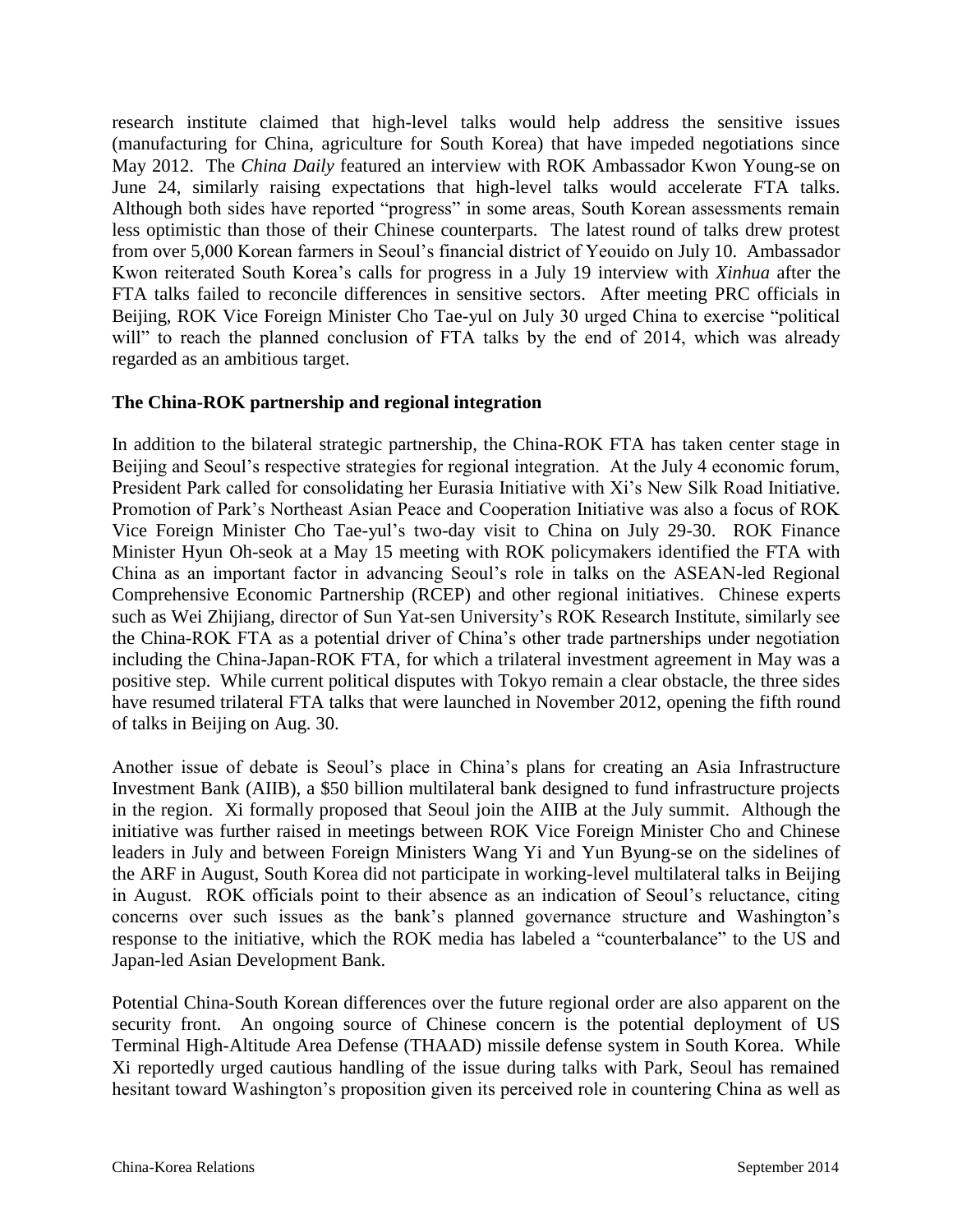research institute claimed that high-level talks would help address the sensitive issues (manufacturing for China, agriculture for South Korea) that have impeded negotiations since May 2012. The *China Daily* featured an interview with ROK Ambassador Kwon Young-se on June 24, similarly raising expectations that high-level talks would accelerate FTA talks. Although both sides have reported "progress" in some areas, South Korean assessments remain less optimistic than those of their Chinese counterparts. The latest round of talks drew protest from over 5,000 Korean farmers in Seoul"s financial district of Yeouido on July 10. Ambassador Kwon reiterated South Korea"s calls for progress in a July 19 interview with *Xinhua* after the FTA talks failed to reconcile differences in sensitive sectors. After meeting PRC officials in Beijing, ROK Vice Foreign Minister Cho Tae-yul on July 30 urged China to exercise "political will" to reach the planned conclusion of FTA talks by the end of 2014, which was already regarded as an ambitious target.

#### **The China-ROK partnership and regional integration**

In addition to the bilateral strategic partnership, the China-ROK FTA has taken center stage in Beijing and Seoul's respective strategies for regional integration. At the July 4 economic forum, President Park called for consolidating her Eurasia Initiative with Xi"s New Silk Road Initiative. Promotion of Park"s Northeast Asian Peace and Cooperation Initiative was also a focus of ROK Vice Foreign Minister Cho Tae-yul"s two-day visit to China on July 29-30. ROK Finance Minister Hyun Oh-seok at a May 15 meeting with ROK policymakers identified the FTA with China as an important factor in advancing Seoul"s role in talks on the ASEAN-led Regional Comprehensive Economic Partnership (RCEP) and other regional initiatives. Chinese experts such as Wei Zhijiang, director of Sun Yat-sen University's ROK Research Institute, similarly see the China-ROK FTA as a potential driver of China"s other trade partnerships under negotiation including the China-Japan-ROK FTA, for which a trilateral investment agreement in May was a positive step. While current political disputes with Tokyo remain a clear obstacle, the three sides have resumed trilateral FTA talks that were launched in November 2012, opening the fifth round of talks in Beijing on Aug. 30.

Another issue of debate is Seoul"s place in China"s plans for creating an Asia Infrastructure Investment Bank (AIIB), a \$50 billion multilateral bank designed to fund infrastructure projects in the region. Xi formally proposed that Seoul join the AIIB at the July summit. Although the initiative was further raised in meetings between ROK Vice Foreign Minister Cho and Chinese leaders in July and between Foreign Ministers Wang Yi and Yun Byung-se on the sidelines of the ARF in August, South Korea did not participate in working-level multilateral talks in Beijing in August. ROK officials point to their absence as an indication of Seoul"s reluctance, citing concerns over such issues as the bank"s planned governance structure and Washington"s response to the initiative, which the ROK media has labeled a "counterbalance" to the US and Japan-led Asian Development Bank.

Potential China-South Korean differences over the future regional order are also apparent on the security front. An ongoing source of Chinese concern is the potential deployment of US Terminal High-Altitude Area Defense (THAAD) missile defense system in South Korea. While Xi reportedly urged cautious handling of the issue during talks with Park, Seoul has remained hesitant toward Washington"s proposition given its perceived role in countering China as well as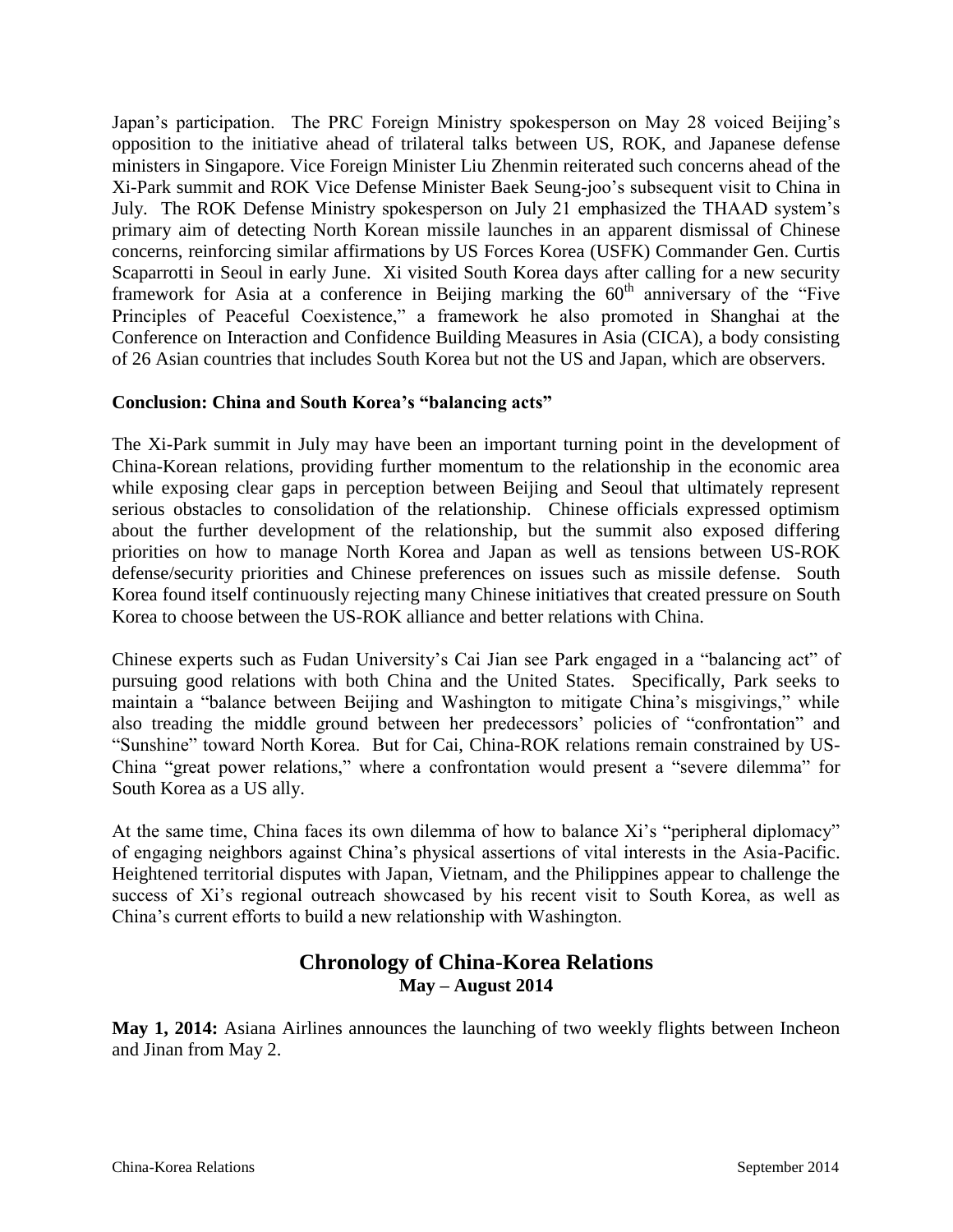Japan"s participation. The PRC Foreign Ministry spokesperson on May 28 voiced Beijing"s opposition to the initiative ahead of trilateral talks between US, ROK, and Japanese defense ministers in Singapore. Vice Foreign Minister Liu Zhenmin reiterated such concerns ahead of the Xi-Park summit and ROK Vice Defense Minister Baek Seung-joo"s subsequent visit to China in July. The ROK Defense Ministry spokesperson on July 21 emphasized the THAAD system"s primary aim of detecting North Korean missile launches in an apparent dismissal of Chinese concerns, reinforcing similar affirmations by US Forces Korea (USFK) Commander Gen. Curtis Scaparrotti in Seoul in early June. Xi visited South Korea days after calling for a new security framework for Asia at a conference in Beijing marking the  $60<sup>th</sup>$  anniversary of the "Five Principles of Peaceful Coexistence," a framework he also promoted in Shanghai at the Conference on Interaction and Confidence Building Measures in Asia (CICA), a body consisting of 26 Asian countries that includes South Korea but not the US and Japan, which are observers.

#### **Conclusion: China and South Korea's "balancing acts"**

The Xi-Park summit in July may have been an important turning point in the development of China-Korean relations, providing further momentum to the relationship in the economic area while exposing clear gaps in perception between Beijing and Seoul that ultimately represent serious obstacles to consolidation of the relationship. Chinese officials expressed optimism about the further development of the relationship, but the summit also exposed differing priorities on how to manage North Korea and Japan as well as tensions between US-ROK defense/security priorities and Chinese preferences on issues such as missile defense. South Korea found itself continuously rejecting many Chinese initiatives that created pressure on South Korea to choose between the US-ROK alliance and better relations with China.

Chinese experts such as Fudan University"s Cai Jian see Park engaged in a "balancing act" of pursuing good relations with both China and the United States. Specifically, Park seeks to maintain a "balance between Beijing and Washington to mitigate China"s misgivings," while also treading the middle ground between her predecessors' policies of "confrontation" and "Sunshine" toward North Korea. But for Cai, China-ROK relations remain constrained by US-China "great power relations," where a confrontation would present a "severe dilemma" for South Korea as a US ally.

At the same time, China faces its own dilemma of how to balance Xi's "peripheral diplomacy" of engaging neighbors against China"s physical assertions of vital interests in the Asia-Pacific. Heightened territorial disputes with Japan, Vietnam, and the Philippines appear to challenge the success of Xi's regional outreach showcased by his recent visit to South Korea, as well as China"s current efforts to build a new relationship with Washington.

### **Chronology of China-Korea Relations May – August 2014**

**May 1, 2014:** Asiana Airlines announces the launching of two weekly flights between Incheon and Jinan from May 2.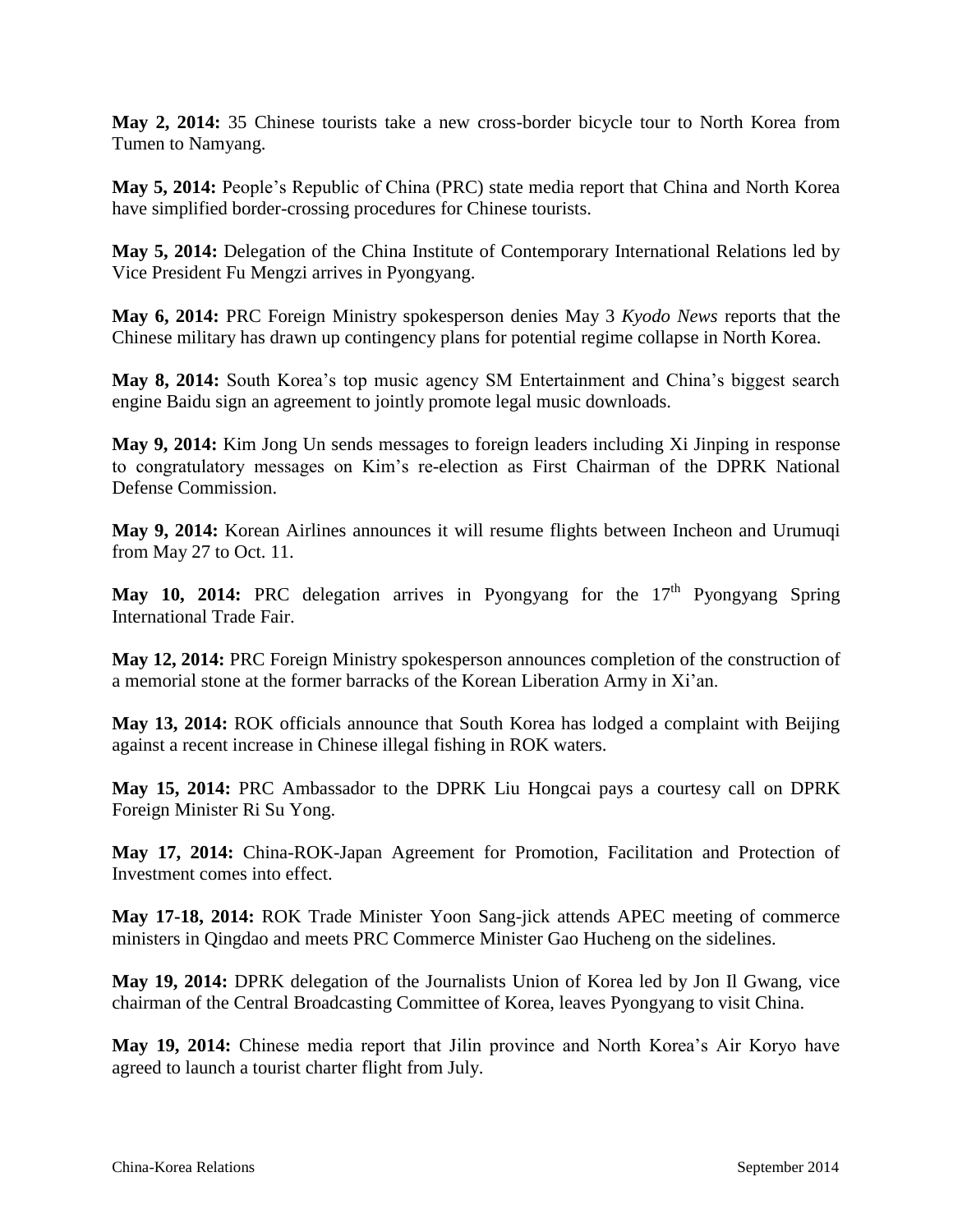**May 2, 2014:** 35 Chinese tourists take a new cross-border bicycle tour to North Korea from Tumen to Namyang.

**May 5, 2014:** People"s Republic of China (PRC) state media report that China and North Korea have simplified border-crossing procedures for Chinese tourists.

**May 5, 2014:** Delegation of the China Institute of Contemporary International Relations led by Vice President Fu Mengzi arrives in Pyongyang.

**May 6, 2014:** PRC Foreign Ministry spokesperson denies May 3 *Kyodo News* reports that the Chinese military has drawn up contingency plans for potential regime collapse in North Korea.

May 8, 2014: South Korea's top music agency SM Entertainment and China's biggest search engine Baidu sign an agreement to jointly promote legal music downloads.

**May 9, 2014:** Kim Jong Un sends messages to foreign leaders including Xi Jinping in response to congratulatory messages on Kim"s re-election as First Chairman of the DPRK National Defense Commission.

**May 9, 2014:** Korean Airlines announces it will resume flights between Incheon and Urumuqi from May 27 to Oct. 11.

**May 10, 2014:** PRC delegation arrives in Pyongyang for the  $17<sup>th</sup>$  Pyongyang Spring International Trade Fair.

**May 12, 2014:** PRC Foreign Ministry spokesperson announces completion of the construction of a memorial stone at the former barracks of the Korean Liberation Army in Xi"an.

**May 13, 2014:** ROK officials announce that South Korea has lodged a complaint with Beijing against a recent increase in Chinese illegal fishing in ROK waters.

**May 15, 2014:** PRC Ambassador to the DPRK Liu Hongcai pays a courtesy call on DPRK Foreign Minister Ri Su Yong.

**May 17, 2014:** China-ROK-Japan Agreement for Promotion, Facilitation and Protection of Investment comes into effect.

**May 17-18, 2014:** ROK Trade Minister Yoon Sang-jick attends APEC meeting of commerce ministers in Qingdao and meets PRC Commerce Minister Gao Hucheng on the sidelines.

**May 19, 2014:** DPRK delegation of the Journalists Union of Korea led by Jon Il Gwang, vice chairman of the Central Broadcasting Committee of Korea, leaves Pyongyang to visit China.

**May 19, 2014:** Chinese media report that Jilin province and North Korea"s Air Koryo have agreed to launch a tourist charter flight from July.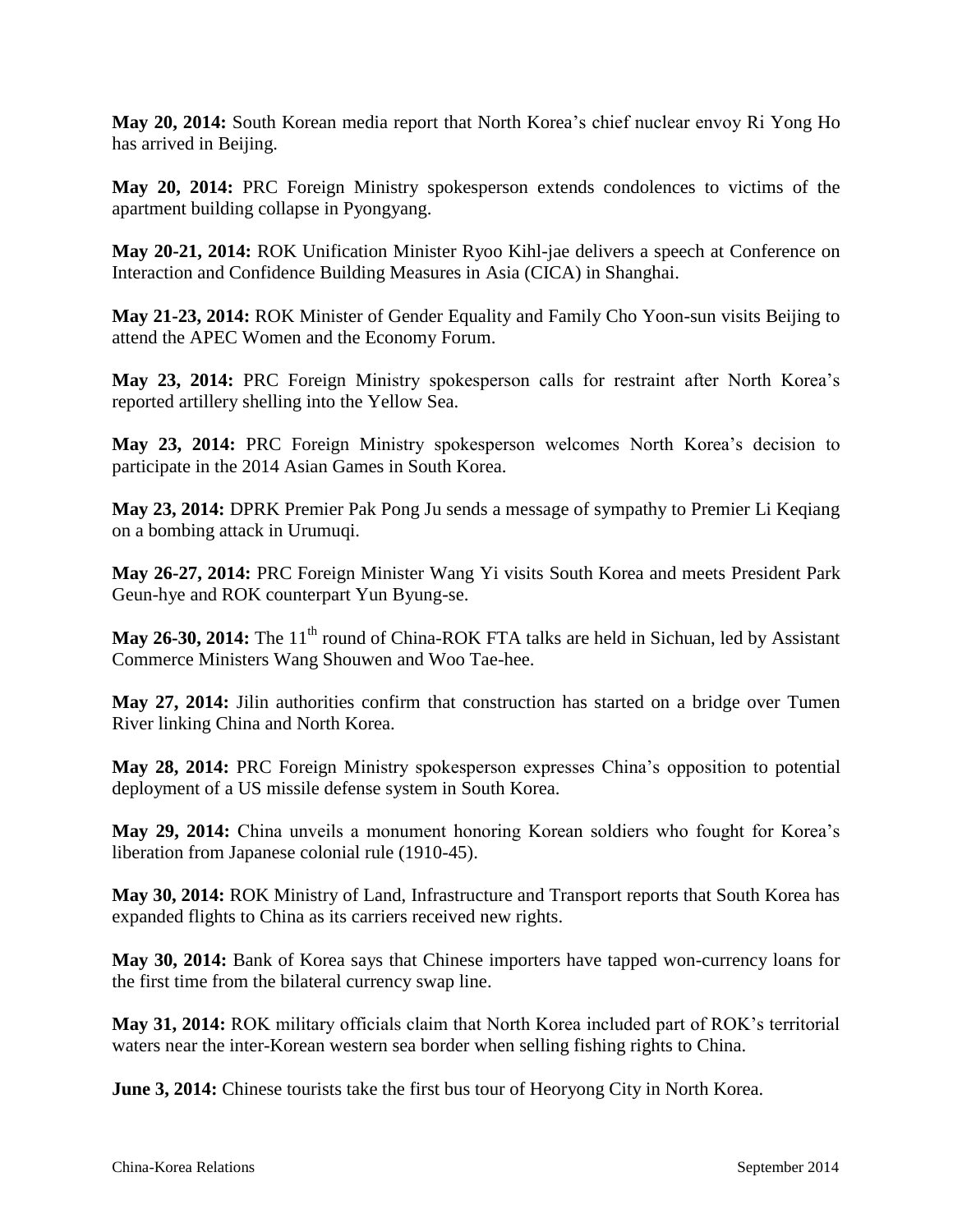**May 20, 2014:** South Korean media report that North Korea"s chief nuclear envoy Ri Yong Ho has arrived in Beijing.

**May 20, 2014:** PRC Foreign Ministry spokesperson extends condolences to victims of the apartment building collapse in Pyongyang.

**May 20-21, 2014:** ROK Unification Minister Ryoo Kihl-jae delivers a speech at Conference on Interaction and Confidence Building Measures in Asia (CICA) in Shanghai.

**May 21-23, 2014:** ROK Minister of Gender Equality and Family Cho Yoon-sun visits Beijing to attend the APEC Women and the Economy Forum.

**May 23, 2014:** PRC Foreign Ministry spokesperson calls for restraint after North Korea"s reported artillery shelling into the Yellow Sea.

**May 23, 2014:** PRC Foreign Ministry spokesperson welcomes North Korea"s decision to participate in the 2014 Asian Games in South Korea.

**May 23, 2014:** DPRK Premier Pak Pong Ju sends a message of sympathy to Premier Li Keqiang on a bombing attack in Urumuqi.

**May 26-27, 2014:** PRC Foreign Minister Wang Yi visits South Korea and meets President Park Geun-hye and ROK counterpart Yun Byung-se.

**May 26-30, 2014:** The 11<sup>th</sup> round of China-ROK FTA talks are held in Sichuan, led by Assistant Commerce Ministers Wang Shouwen and Woo Tae-hee.

**May 27, 2014:** Jilin authorities confirm that construction has started on a bridge over Tumen River linking China and North Korea.

**May 28, 2014:** PRC Foreign Ministry spokesperson expresses China"s opposition to potential deployment of a US missile defense system in South Korea.

**May 29, 2014:** China unveils a monument honoring Korean soldiers who fought for Korea"s liberation from Japanese colonial rule (1910-45).

**May 30, 2014:** ROK Ministry of Land, Infrastructure and Transport reports that South Korea has expanded flights to China as its carriers received new rights.

**May 30, 2014:** Bank of Korea says that Chinese importers have tapped won-currency loans for the first time from the bilateral currency swap line.

**May 31, 2014:** ROK military officials claim that North Korea included part of ROK"s territorial waters near the inter-Korean western sea border when selling fishing rights to China.

**June 3, 2014:** Chinese tourists take the first bus tour of Heoryong City in North Korea.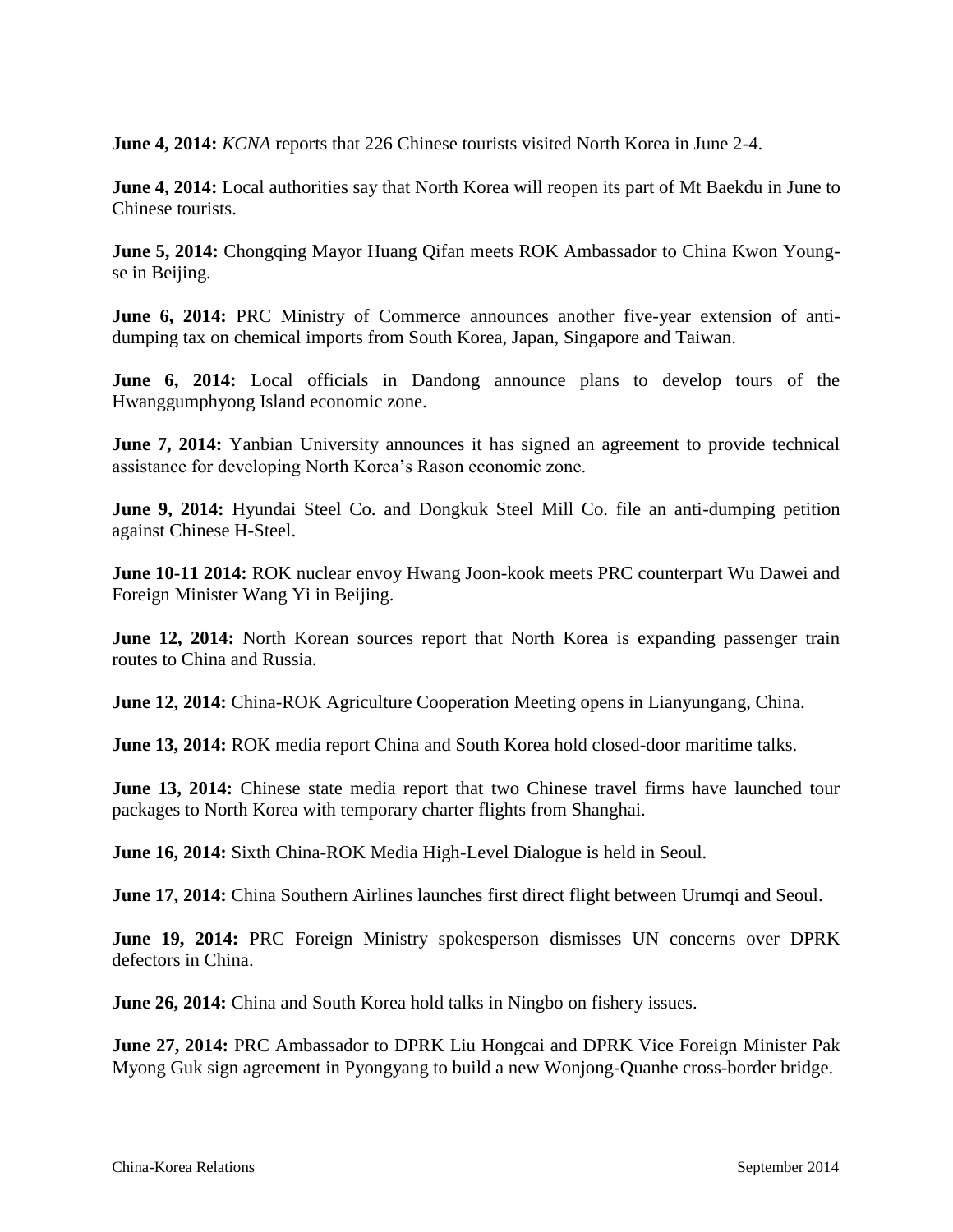**June 4, 2014:** *KCNA* reports that 226 Chinese tourists visited North Korea in June 2-4.

**June 4, 2014:** Local authorities say that North Korea will reopen its part of Mt Baekdu in June to Chinese tourists.

**June 5, 2014:** Chongqing Mayor Huang Qifan meets ROK Ambassador to China Kwon Youngse in Beijing.

**June 6, 2014:** PRC Ministry of Commerce announces another five-year extension of antidumping tax on chemical imports from South Korea, Japan, Singapore and Taiwan.

**June 6, 2014:** Local officials in Dandong announce plans to develop tours of the Hwanggumphyong Island economic zone.

**June 7, 2014:** Yanbian University announces it has signed an agreement to provide technical assistance for developing North Korea"s Rason economic zone.

**June 9, 2014:** Hyundai Steel Co. and Dongkuk Steel Mill Co. file an anti-dumping petition against Chinese H-Steel.

**June 10-11 2014:** ROK nuclear envoy Hwang Joon-kook meets PRC counterpart Wu Dawei and Foreign Minister Wang Yi in Beijing.

**June 12, 2014:** North Korean sources report that North Korea is expanding passenger train routes to China and Russia.

**June 12, 2014:** China-ROK Agriculture Cooperation Meeting opens in Lianyungang, China.

**June 13, 2014:** ROK media report China and South Korea hold closed-door maritime talks.

**June 13, 2014:** Chinese state media report that two Chinese travel firms have launched tour packages to North Korea with temporary charter flights from Shanghai.

**June 16, 2014:** Sixth China-ROK Media High-Level Dialogue is held in Seoul.

**June 17, 2014:** China Southern Airlines launches first direct flight between Urumqi and Seoul.

**June 19, 2014:** PRC Foreign Ministry spokesperson dismisses UN concerns over DPRK defectors in China.

**June 26, 2014:** China and South Korea hold talks in Ningbo on fishery issues.

**June 27, 2014:** PRC Ambassador to DPRK Liu Hongcai and DPRK Vice Foreign Minister Pak Myong Guk sign agreement in Pyongyang to build a new Wonjong-Quanhe cross-border bridge.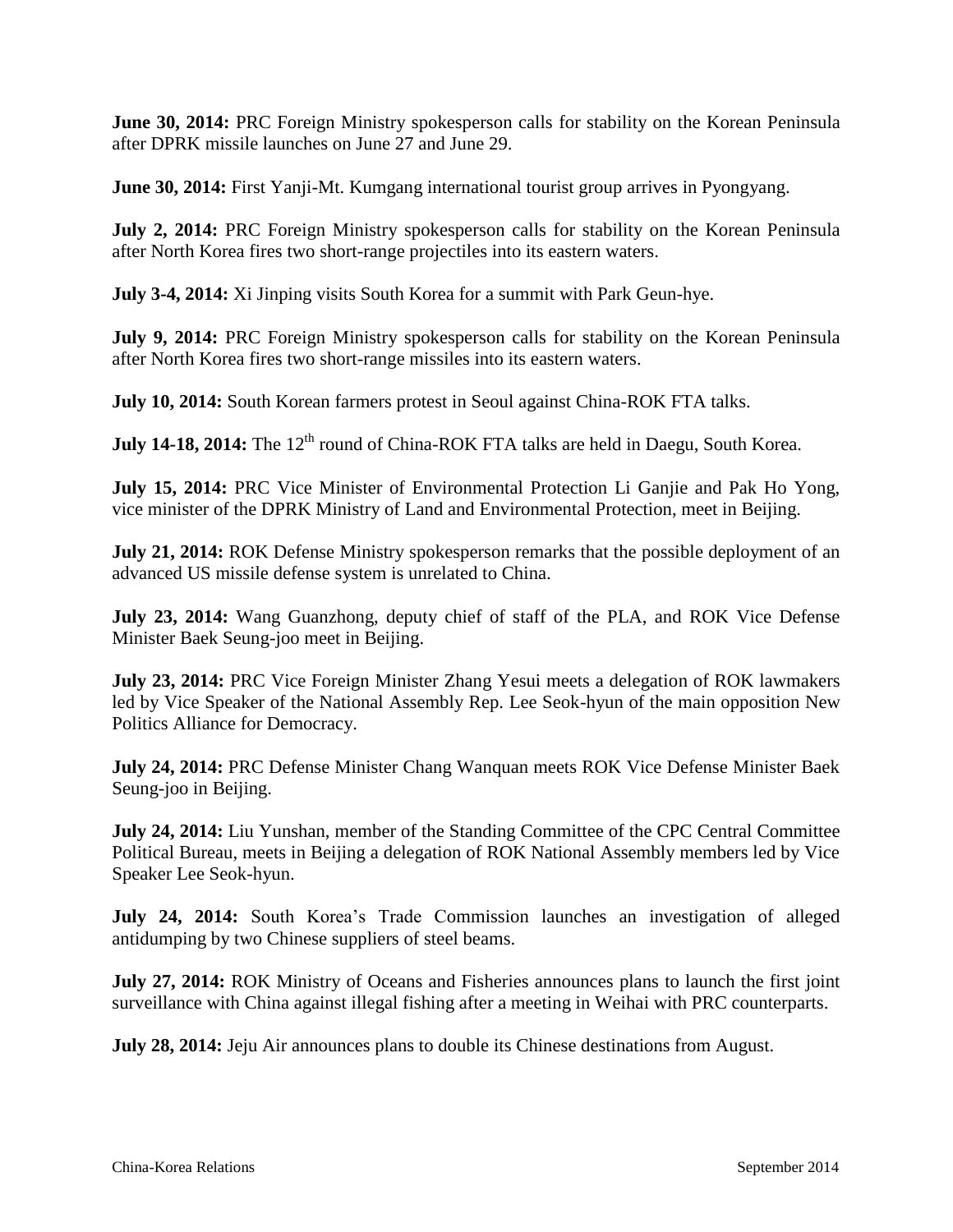**June 30, 2014:** PRC Foreign Ministry spokesperson calls for stability on the Korean Peninsula after DPRK missile launches on June 27 and June 29.

**June 30, 2014:** First Yanji-Mt. Kumgang international tourist group arrives in Pyongyang.

**July 2, 2014:** PRC Foreign Ministry spokesperson calls for stability on the Korean Peninsula after North Korea fires two short-range projectiles into its eastern waters.

**July 3-4, 2014:** Xi Jinping visits South Korea for a summit with Park Geun-hye.

**July 9, 2014:** PRC Foreign Ministry spokesperson calls for stability on the Korean Peninsula after North Korea fires two short-range missiles into its eastern waters.

**July 10, 2014:** South Korean farmers protest in Seoul against China-ROK FTA talks.

**July 14-18, 2014:** The 12<sup>th</sup> round of China-ROK FTA talks are held in Daegu, South Korea.

**July 15, 2014:** PRC Vice Minister of Environmental Protection Li Ganjie and Pak Ho Yong, vice minister of the DPRK Ministry of Land and Environmental Protection, meet in Beijing.

**July 21, 2014:** ROK Defense Ministry spokesperson remarks that the possible deployment of an advanced US missile defense system is unrelated to China.

**July 23, 2014:** Wang Guanzhong, deputy chief of staff of the PLA, and ROK Vice Defense Minister Baek Seung-joo meet in Beijing.

**July 23, 2014:** PRC Vice Foreign Minister Zhang Yesui meets a delegation of ROK lawmakers led by Vice Speaker of the National Assembly Rep. Lee Seok-hyun of the main opposition New Politics Alliance for Democracy.

**July 24, 2014:** PRC Defense Minister Chang Wanquan meets ROK Vice Defense Minister Baek Seung-joo in Beijing.

**July 24, 2014:** Liu Yunshan, member of the Standing Committee of the CPC Central Committee Political Bureau, meets in Beijing a delegation of ROK National Assembly members led by Vice Speaker Lee Seok-hyun.

**July 24, 2014:** South Korea's Trade Commission launches an investigation of alleged antidumping by two Chinese suppliers of steel beams.

**July 27, 2014:** ROK Ministry of Oceans and Fisheries announces plans to launch the first joint surveillance with China against illegal fishing after a meeting in Weihai with PRC counterparts.

**July 28, 2014:** Jeju Air announces plans to double its Chinese destinations from August.